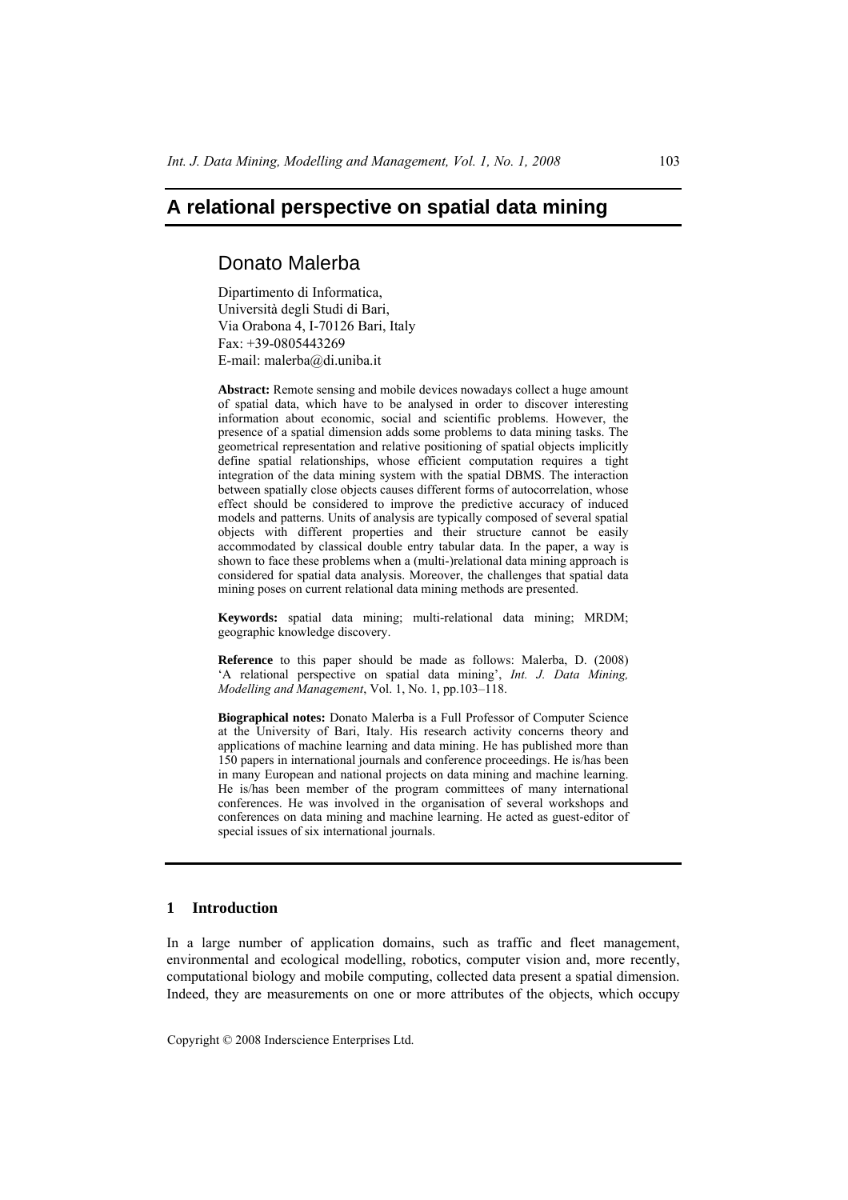# **A relational perspective on spatial data mining**

# Donato Malerba

Dipartimento di Informatica, Università degli Studi di Bari, Via Orabona 4, I-70126 Bari, Italy Fax: +39-0805443269 E-mail: malerba@di.uniba.it

**Abstract:** Remote sensing and mobile devices nowadays collect a huge amount of spatial data, which have to be analysed in order to discover interesting information about economic, social and scientific problems. However, the presence of a spatial dimension adds some problems to data mining tasks. The geometrical representation and relative positioning of spatial objects implicitly define spatial relationships, whose efficient computation requires a tight integration of the data mining system with the spatial DBMS. The interaction between spatially close objects causes different forms of autocorrelation, whose effect should be considered to improve the predictive accuracy of induced models and patterns. Units of analysis are typically composed of several spatial objects with different properties and their structure cannot be easily accommodated by classical double entry tabular data. In the paper, a way is shown to face these problems when a (multi-)relational data mining approach is considered for spatial data analysis. Moreover, the challenges that spatial data mining poses on current relational data mining methods are presented.

**Keywords:** spatial data mining; multi-relational data mining; MRDM; geographic knowledge discovery.

**Reference** to this paper should be made as follows: Malerba, D. (2008) 'A relational perspective on spatial data mining', *Int. J. Data Mining, Modelling and Management*, Vol. 1, No. 1, pp.103–118.

**Biographical notes:** Donato Malerba is a Full Professor of Computer Science at the University of Bari, Italy. His research activity concerns theory and applications of machine learning and data mining. He has published more than 150 papers in international journals and conference proceedings. He is/has been in many European and national projects on data mining and machine learning. He is/has been member of the program committees of many international conferences. He was involved in the organisation of several workshops and conferences on data mining and machine learning. He acted as guest-editor of special issues of six international journals.

#### **1 Introduction**

In a large number of application domains, such as traffic and fleet management, environmental and ecological modelling, robotics, computer vision and, more recently, computational biology and mobile computing, collected data present a spatial dimension. Indeed, they are measurements on one or more attributes of the objects, which occupy

Copyright © 2008 Inderscience Enterprises Ltd.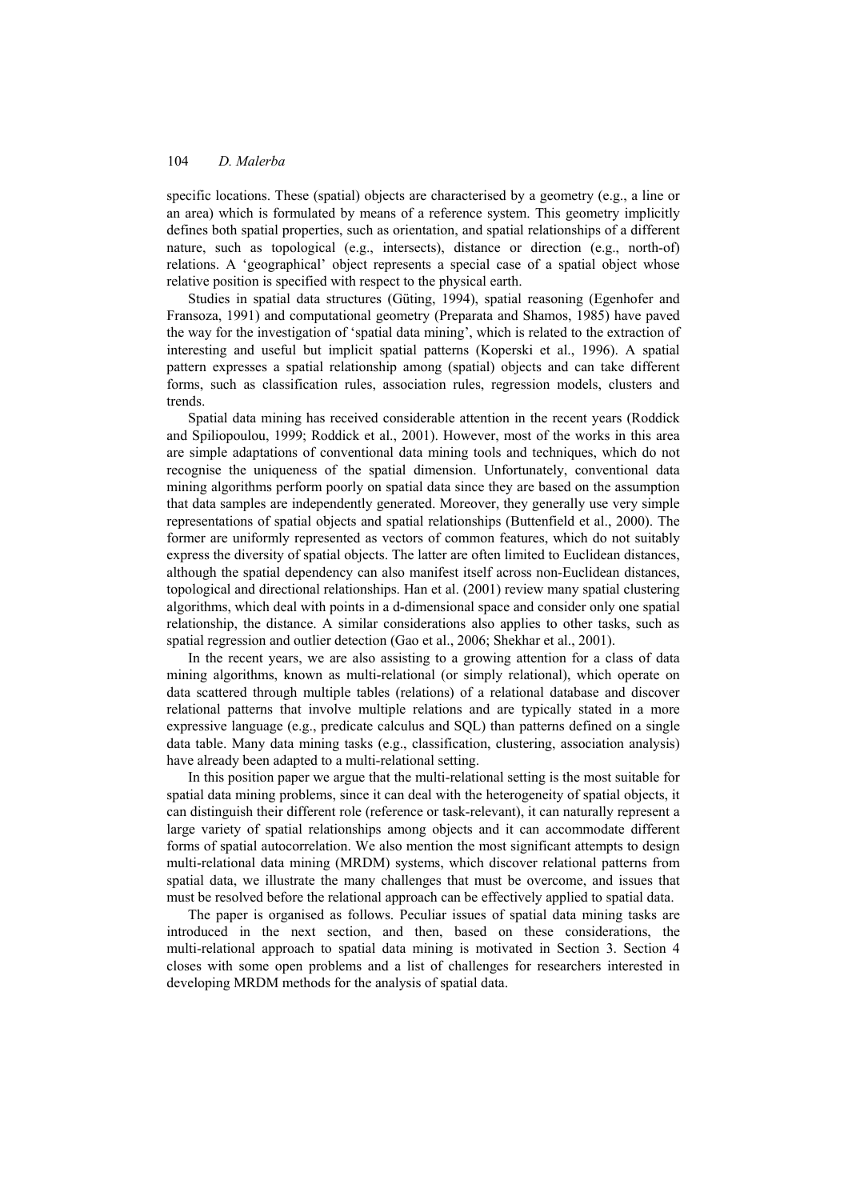specific locations. These (spatial) objects are characterised by a geometry (e.g., a line or an area) which is formulated by means of a reference system. This geometry implicitly defines both spatial properties, such as orientation, and spatial relationships of a different nature, such as topological (e.g., intersects), distance or direction (e.g., north-of) relations. A 'geographical' object represents a special case of a spatial object whose relative position is specified with respect to the physical earth.

Studies in spatial data structures (Güting, 1994), spatial reasoning (Egenhofer and Fransoza, 1991) and computational geometry (Preparata and Shamos, 1985) have paved the way for the investigation of 'spatial data mining', which is related to the extraction of interesting and useful but implicit spatial patterns (Koperski et al., 1996). A spatial pattern expresses a spatial relationship among (spatial) objects and can take different forms, such as classification rules, association rules, regression models, clusters and trends.

Spatial data mining has received considerable attention in the recent years (Roddick and Spiliopoulou, 1999; Roddick et al., 2001). However, most of the works in this area are simple adaptations of conventional data mining tools and techniques, which do not recognise the uniqueness of the spatial dimension. Unfortunately, conventional data mining algorithms perform poorly on spatial data since they are based on the assumption that data samples are independently generated. Moreover, they generally use very simple representations of spatial objects and spatial relationships (Buttenfield et al., 2000). The former are uniformly represented as vectors of common features, which do not suitably express the diversity of spatial objects. The latter are often limited to Euclidean distances, although the spatial dependency can also manifest itself across non-Euclidean distances, topological and directional relationships. Han et al. (2001) review many spatial clustering algorithms, which deal with points in a d-dimensional space and consider only one spatial relationship, the distance. A similar considerations also applies to other tasks, such as spatial regression and outlier detection (Gao et al., 2006; Shekhar et al., 2001).

In the recent years, we are also assisting to a growing attention for a class of data mining algorithms, known as multi-relational (or simply relational), which operate on data scattered through multiple tables (relations) of a relational database and discover relational patterns that involve multiple relations and are typically stated in a more expressive language (e.g., predicate calculus and SQL) than patterns defined on a single data table. Many data mining tasks (e.g., classification, clustering, association analysis) have already been adapted to a multi-relational setting.

In this position paper we argue that the multi-relational setting is the most suitable for spatial data mining problems, since it can deal with the heterogeneity of spatial objects, it can distinguish their different role (reference or task-relevant), it can naturally represent a large variety of spatial relationships among objects and it can accommodate different forms of spatial autocorrelation. We also mention the most significant attempts to design multi-relational data mining (MRDM) systems, which discover relational patterns from spatial data, we illustrate the many challenges that must be overcome, and issues that must be resolved before the relational approach can be effectively applied to spatial data.

The paper is organised as follows. Peculiar issues of spatial data mining tasks are introduced in the next section, and then, based on these considerations, the multi-relational approach to spatial data mining is motivated in Section 3. Section 4 closes with some open problems and a list of challenges for researchers interested in developing MRDM methods for the analysis of spatial data.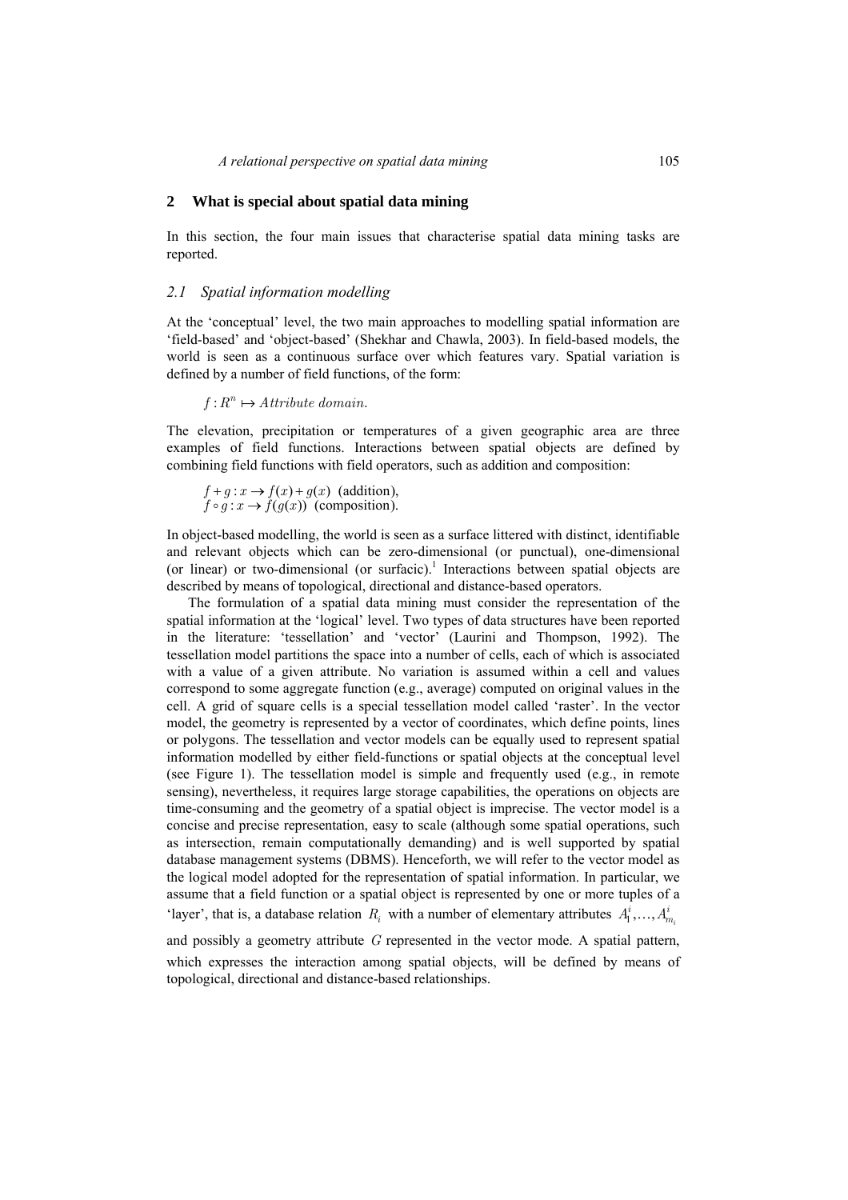## **2 What is special about spatial data mining**

In this section, the four main issues that characterise spatial data mining tasks are reported.

#### *2.1 Spatial information modelling*

At the 'conceptual' level, the two main approaches to modelling spatial information are 'field-based' and 'object-based' (Shekhar and Chawla, 2003). In field-based models, the world is seen as a continuous surface over which features vary. Spatial variation is defined by a number of field functions, of the form:

 $f: R^n \mapsto \textit{Attribute domain}.$ 

The elevation, precipitation or temperatures of a given geographic area are three examples of field functions. Interactions between spatial objects are defined by combining field functions with field operators, such as addition and composition:

$$
f+g: x \to f(x)+g(x)
$$
 (addition),  
 $f \circ g: x \to f(g(x))$  (composition).

In object-based modelling, the world is seen as a surface littered with distinct, identifiable and relevant objects which can be zero-dimensional (or punctual), one-dimensional (or linear) or two-dimensional (or surfacic).<sup>1</sup> Interactions between spatial objects are described by means of topological, directional and distance-based operators.

The formulation of a spatial data mining must consider the representation of the spatial information at the 'logical' level. Two types of data structures have been reported in the literature: 'tessellation' and 'vector' (Laurini and Thompson, 1992). The tessellation model partitions the space into a number of cells, each of which is associated with a value of a given attribute. No variation is assumed within a cell and values correspond to some aggregate function (e.g., average) computed on original values in the cell. A grid of square cells is a special tessellation model called 'raster'. In the vector model, the geometry is represented by a vector of coordinates, which define points, lines or polygons. The tessellation and vector models can be equally used to represent spatial information modelled by either field-functions or spatial objects at the conceptual level (see Figure 1). The tessellation model is simple and frequently used (e.g., in remote sensing), nevertheless, it requires large storage capabilities, the operations on objects are time-consuming and the geometry of a spatial object is imprecise. The vector model is a concise and precise representation, easy to scale (although some spatial operations, such as intersection, remain computationally demanding) and is well supported by spatial database management systems (DBMS). Henceforth, we will refer to the vector model as the logical model adopted for the representation of spatial information. In particular, we assume that a field function or a spatial object is represented by one or more tuples of a 'layer', that is, a database relation  $R_i$  with a number of elementary attributes  $A_1^i, \ldots, A_{m_i}^i$ 

and possibly a geometry attribute *G* represented in the vector mode. A spatial pattern, which expresses the interaction among spatial objects, will be defined by means of topological, directional and distance-based relationships.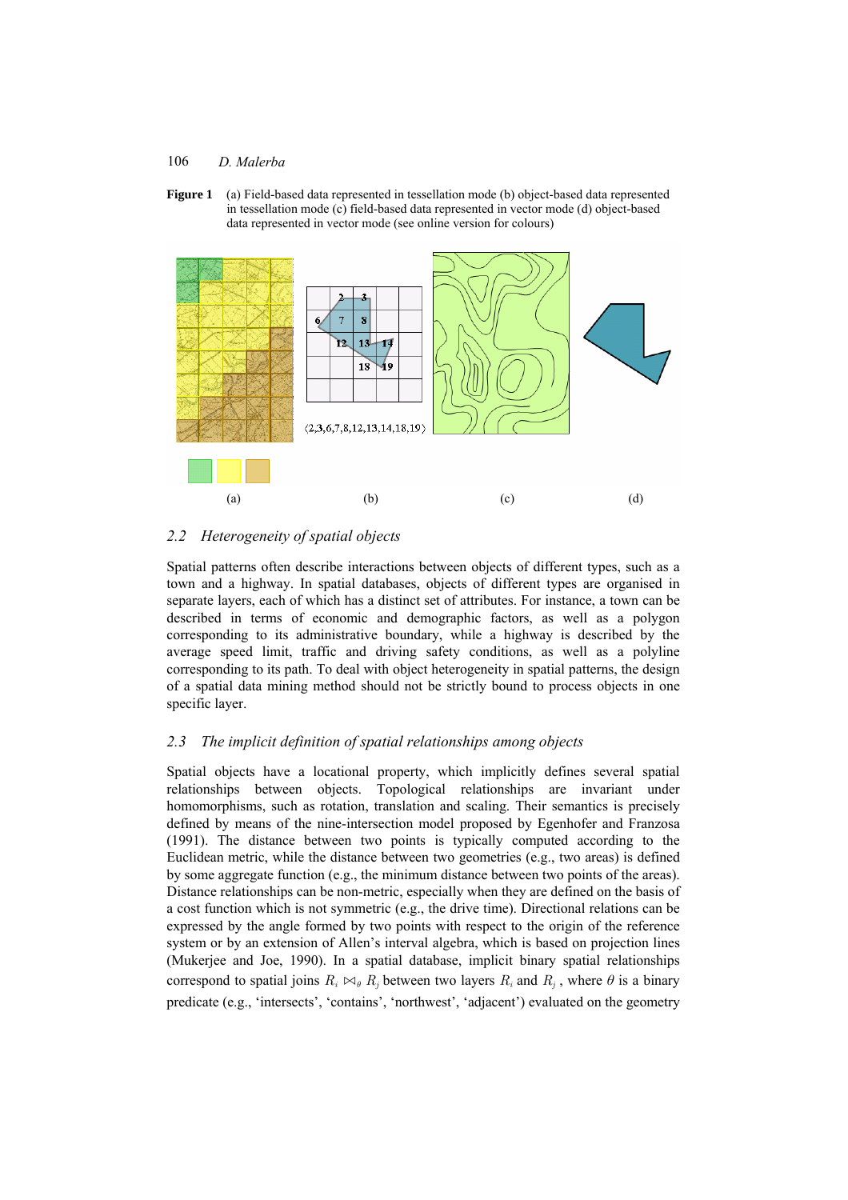

**Figure 1** (a) Field-based data represented in tessellation mode (b) object-based data represented in tessellation mode (c) field-based data represented in vector mode (d) object-based data represented in vector mode (see online version for colours)

# *2.2 Heterogeneity of spatial objects*

Spatial patterns often describe interactions between objects of different types, such as a town and a highway. In spatial databases, objects of different types are organised in separate layers, each of which has a distinct set of attributes. For instance, a town can be described in terms of economic and demographic factors, as well as a polygon corresponding to its administrative boundary, while a highway is described by the average speed limit, traffic and driving safety conditions, as well as a polyline corresponding to its path. To deal with object heterogeneity in spatial patterns, the design of a spatial data mining method should not be strictly bound to process objects in one specific layer.

# *2.3 The implicit definition of spatial relationships among objects*

Spatial objects have a locational property, which implicitly defines several spatial relationships between objects. Topological relationships are invariant under homomorphisms, such as rotation, translation and scaling. Their semantics is precisely defined by means of the nine-intersection model proposed by Egenhofer and Franzosa (1991). The distance between two points is typically computed according to the Euclidean metric, while the distance between two geometries (e.g., two areas) is defined by some aggregate function (e.g., the minimum distance between two points of the areas). Distance relationships can be non-metric, especially when they are defined on the basis of a cost function which is not symmetric (e.g., the drive time). Directional relations can be expressed by the angle formed by two points with respect to the origin of the reference system or by an extension of Allen's interval algebra, which is based on projection lines (Mukerjee and Joe, 1990). In a spatial database, implicit binary spatial relationships correspond to spatial joins  $R_i \bowtie_{\theta} R_j$  between two layers  $R_i$  and  $R_j$ , where  $\theta$  is a binary predicate (e.g., 'intersects', 'contains', 'northwest', 'adjacent') evaluated on the geometry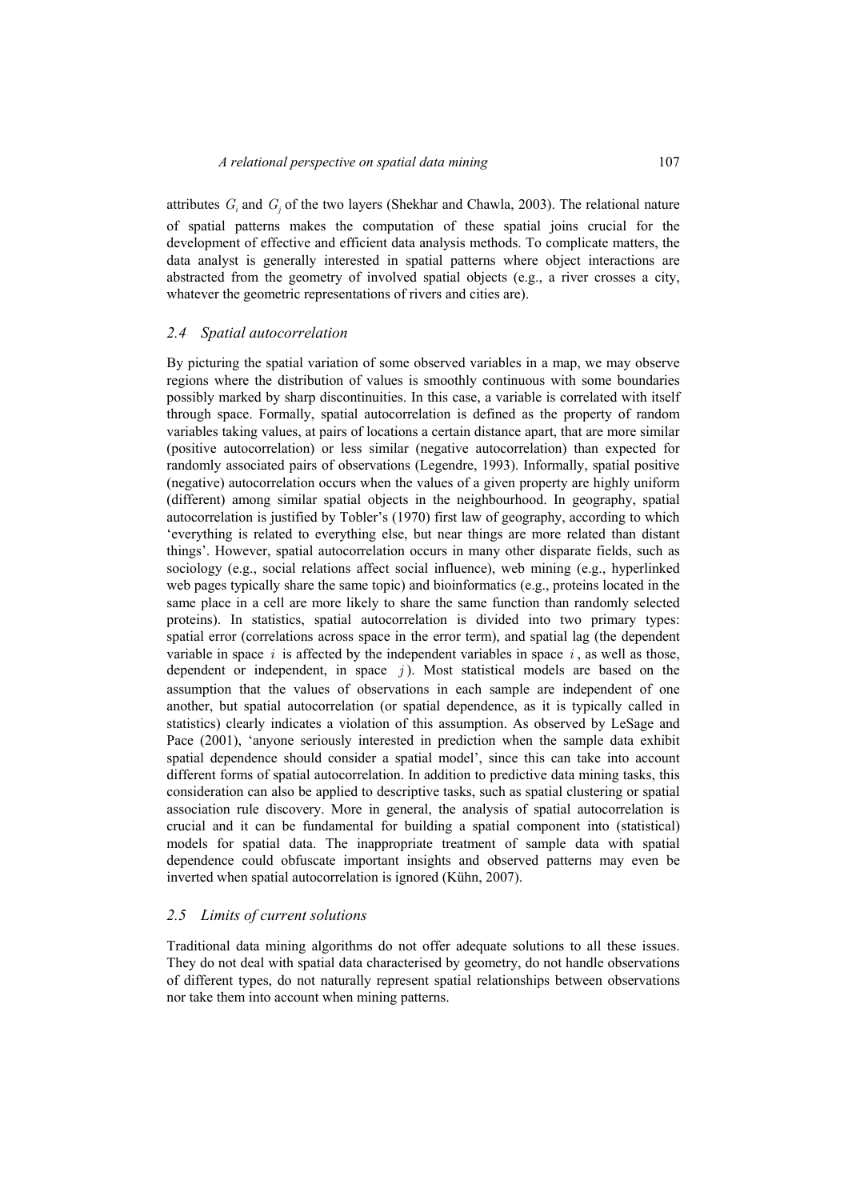attributes  $G_i$  and  $G_j$  of the two layers (Shekhar and Chawla, 2003). The relational nature of spatial patterns makes the computation of these spatial joins crucial for the development of effective and efficient data analysis methods. To complicate matters, the data analyst is generally interested in spatial patterns where object interactions are abstracted from the geometry of involved spatial objects (e.g., a river crosses a city, whatever the geometric representations of rivers and cities are).

### *2.4 Spatial autocorrelation*

By picturing the spatial variation of some observed variables in a map, we may observe regions where the distribution of values is smoothly continuous with some boundaries possibly marked by sharp discontinuities. In this case, a variable is correlated with itself through space. Formally, spatial autocorrelation is defined as the property of random variables taking values, at pairs of locations a certain distance apart, that are more similar (positive autocorrelation) or less similar (negative autocorrelation) than expected for randomly associated pairs of observations (Legendre, 1993). Informally, spatial positive (negative) autocorrelation occurs when the values of a given property are highly uniform (different) among similar spatial objects in the neighbourhood. In geography, spatial autocorrelation is justified by Tobler's (1970) first law of geography, according to which 'everything is related to everything else, but near things are more related than distant things'. However, spatial autocorrelation occurs in many other disparate fields, such as sociology (e.g., social relations affect social influence), web mining (e.g., hyperlinked web pages typically share the same topic) and bioinformatics (e.g., proteins located in the same place in a cell are more likely to share the same function than randomly selected proteins). In statistics, spatial autocorrelation is divided into two primary types: spatial error (correlations across space in the error term), and spatial lag (the dependent variable in space  $i$  is affected by the independent variables in space  $i$ , as well as those, dependent or independent, in space  $j$ ). Most statistical models are based on the assumption that the values of observations in each sample are independent of one another, but spatial autocorrelation (or spatial dependence, as it is typically called in statistics) clearly indicates a violation of this assumption. As observed by LeSage and Pace (2001), 'anyone seriously interested in prediction when the sample data exhibit spatial dependence should consider a spatial model', since this can take into account different forms of spatial autocorrelation. In addition to predictive data mining tasks, this consideration can also be applied to descriptive tasks, such as spatial clustering or spatial association rule discovery. More in general, the analysis of spatial autocorrelation is crucial and it can be fundamental for building a spatial component into (statistical) models for spatial data. The inappropriate treatment of sample data with spatial dependence could obfuscate important insights and observed patterns may even be inverted when spatial autocorrelation is ignored (Kühn, 2007).

### *2.5 Limits of current solutions*

Traditional data mining algorithms do not offer adequate solutions to all these issues. They do not deal with spatial data characterised by geometry, do not handle observations of different types, do not naturally represent spatial relationships between observations nor take them into account when mining patterns.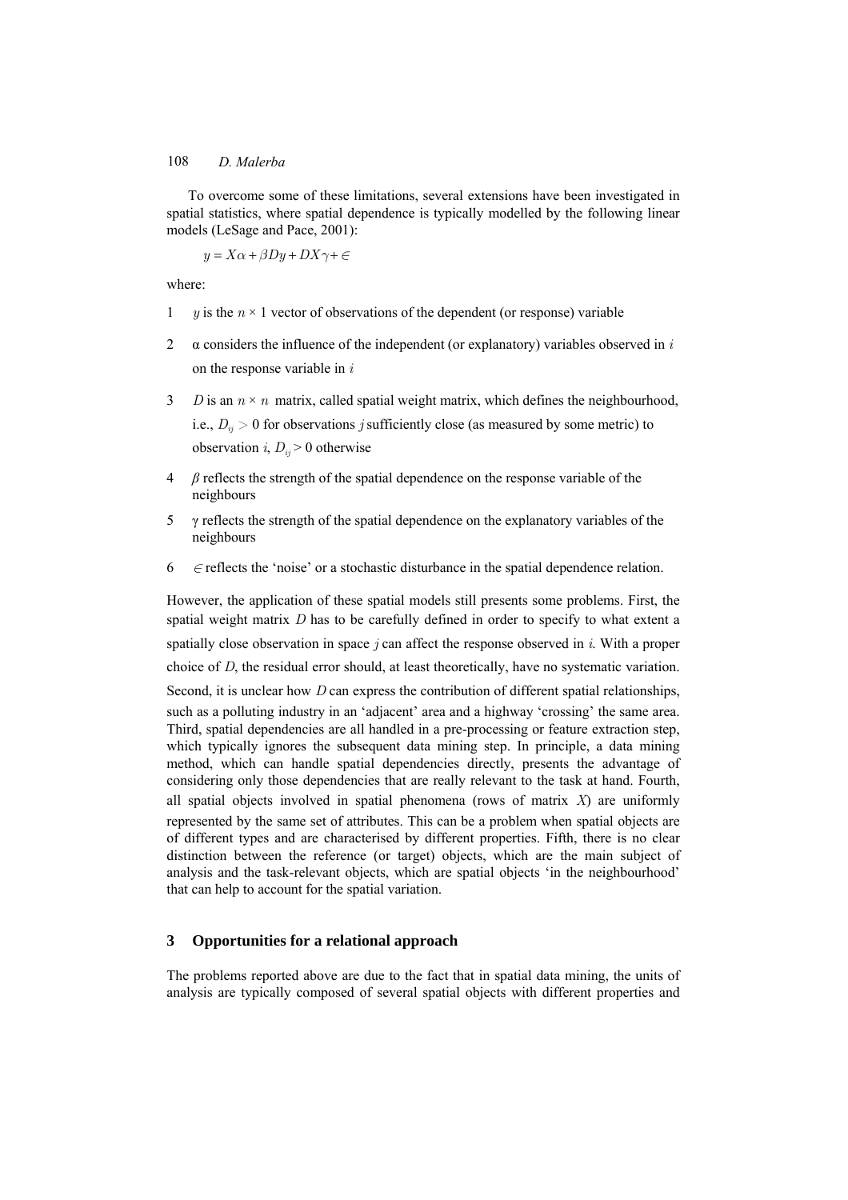To overcome some of these limitations, several extensions have been investigated in spatial statistics, where spatial dependence is typically modelled by the following linear models (LeSage and Pace, 2001):

 $y = X\alpha + \beta Dy + DX\gamma + \in$ 

where:

- 1 *y* is the  $n \times 1$  vector of observations of the dependent (or response) variable
- 2  $\alpha$  considers the influence of the independent (or explanatory) variables observed in *i* on the response variable in *i*
- 3 *D* is an  $n \times n$  matrix, called spatial weight matrix, which defines the neighbourhood. i.e.,  $D_{ij} > 0$  for observations *j* sufficiently close (as measured by some metric) to observation *i*,  $D_{ii}$  > 0 otherwise
- 4 *β* reflects the strength of the spatial dependence on the response variable of the neighbours
- $5\gamma$  reflects the strength of the spatial dependence on the explanatory variables of the neighbours
- 6  $\epsilon$  reflects the 'noise' or a stochastic disturbance in the spatial dependence relation.

However, the application of these spatial models still presents some problems. First, the spatial weight matrix *D* has to be carefully defined in order to specify to what extent a spatially close observation in space *j* can affect the response observed in *i*. With a proper choice of *D*, the residual error should, at least theoretically, have no systematic variation. Second, it is unclear how *D* can express the contribution of different spatial relationships, such as a polluting industry in an 'adjacent' area and a highway 'crossing' the same area. Third, spatial dependencies are all handled in a pre-processing or feature extraction step, which typically ignores the subsequent data mining step. In principle, a data mining method, which can handle spatial dependencies directly, presents the advantage of considering only those dependencies that are really relevant to the task at hand. Fourth, all spatial objects involved in spatial phenomena (rows of matrix *X*) are uniformly represented by the same set of attributes. This can be a problem when spatial objects are of different types and are characterised by different properties. Fifth, there is no clear distinction between the reference (or target) objects, which are the main subject of analysis and the task-relevant objects, which are spatial objects 'in the neighbourhood' that can help to account for the spatial variation.

#### **3 Opportunities for a relational approach**

The problems reported above are due to the fact that in spatial data mining, the units of analysis are typically composed of several spatial objects with different properties and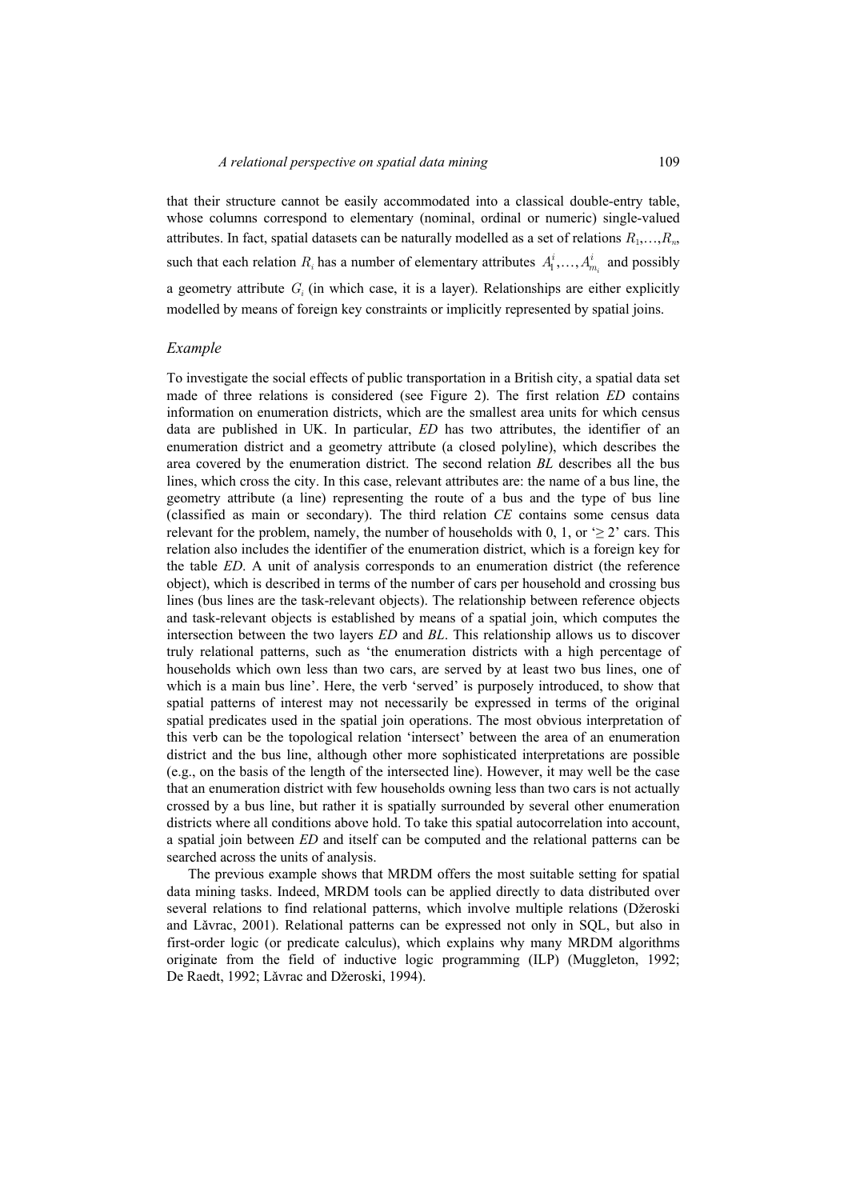such that each relation  $R_i$  has a number of elementary attributes  $A_1^i, \ldots, A_{m_i}^i$  and possibly that their structure cannot be easily accommodated into a classical double-entry table, whose columns correspond to elementary (nominal, ordinal or numeric) single-valued attributes. In fact, spatial datasets can be naturally modelled as a set of relations *R*1,…,*Rn*, a geometry attribute  $G_i$  (in which case, it is a layer). Relationships are either explicitly modelled by means of foreign key constraints or implicitly represented by spatial joins.

#### *Example*

To investigate the social effects of public transportation in a British city, a spatial data set made of three relations is considered (see Figure 2). The first relation *ED* contains information on enumeration districts, which are the smallest area units for which census data are published in UK. In particular, *ED* has two attributes, the identifier of an enumeration district and a geometry attribute (a closed polyline), which describes the area covered by the enumeration district. The second relation *BL* describes all the bus lines, which cross the city. In this case, relevant attributes are: the name of a bus line, the geometry attribute (a line) representing the route of a bus and the type of bus line (classified as main or secondary). The third relation *CE* contains some census data relevant for the problem, namely, the number of households with 0, 1, or  $\geq 2$  cars. This relation also includes the identifier of the enumeration district, which is a foreign key for the table *ED*. A unit of analysis corresponds to an enumeration district (the reference object), which is described in terms of the number of cars per household and crossing bus lines (bus lines are the task-relevant objects). The relationship between reference objects and task-relevant objects is established by means of a spatial join, which computes the intersection between the two layers *ED* and *BL*. This relationship allows us to discover truly relational patterns, such as 'the enumeration districts with a high percentage of households which own less than two cars, are served by at least two bus lines, one of which is a main bus line'. Here, the verb 'served' is purposely introduced, to show that spatial patterns of interest may not necessarily be expressed in terms of the original spatial predicates used in the spatial join operations. The most obvious interpretation of this verb can be the topological relation 'intersect' between the area of an enumeration district and the bus line, although other more sophisticated interpretations are possible (e.g., on the basis of the length of the intersected line). However, it may well be the case that an enumeration district with few households owning less than two cars is not actually crossed by a bus line, but rather it is spatially surrounded by several other enumeration districts where all conditions above hold. To take this spatial autocorrelation into account, a spatial join between *ED* and itself can be computed and the relational patterns can be searched across the units of analysis.

The previous example shows that MRDM offers the most suitable setting for spatial data mining tasks. Indeed, MRDM tools can be applied directly to data distributed over several relations to find relational patterns, which involve multiple relations (Džeroski and Lǎvrac, 2001). Relational patterns can be expressed not only in SQL, but also in first-order logic (or predicate calculus), which explains why many MRDM algorithms originate from the field of inductive logic programming (ILP) (Muggleton, 1992; De Raedt, 1992; Lǎvrac and Džeroski, 1994).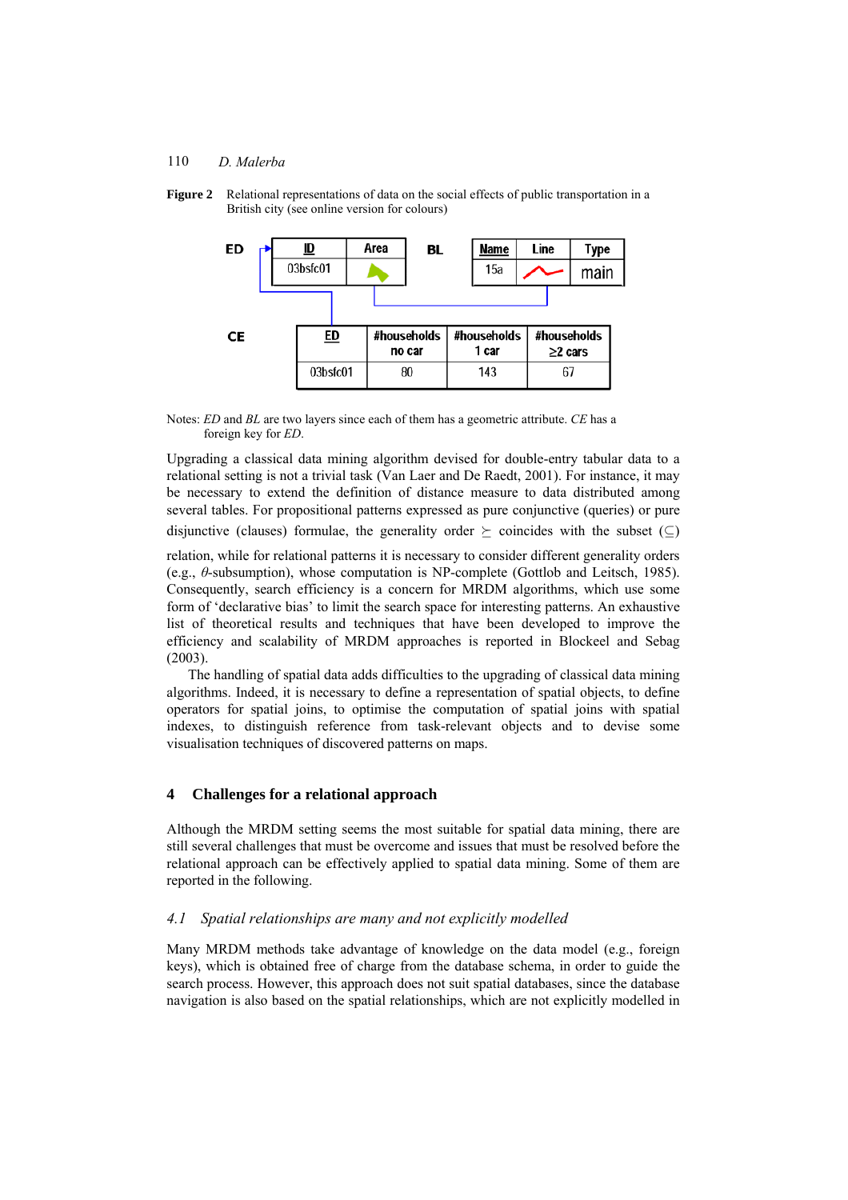| ED |  | ம |          |                       | Area | BL |                      | <b>Name</b> | Line                         |      | <b>Type</b> |  |
|----|--|---|----------|-----------------------|------|----|----------------------|-------------|------------------------------|------|-------------|--|
|    |  |   | 03bsfc01 |                       |      |    |                      | 15a         |                              | main |             |  |
|    |  |   |          |                       |      |    |                      |             |                              |      |             |  |
| CE |  | 뜨 |          | #households<br>no car |      |    | #households<br>1 car |             | #households<br>$\geq$ 2 cars |      |             |  |
|    |  |   | 03bsfc01 |                       | 80   |    |                      | 143         | 67                           |      |             |  |

**Figure 2** Relational representations of data on the social effects of public transportation in a British city (see online version for colours)

Notes: *ED* and *BL* are two layers since each of them has a geometric attribute. *CE* has a foreign key for *ED*.

Upgrading a classical data mining algorithm devised for double-entry tabular data to a relational setting is not a trivial task (Van Laer and De Raedt, 2001). For instance, it may be necessary to extend the definition of distance measure to data distributed among several tables. For propositional patterns expressed as pure conjunctive (queries) or pure disjunctive (clauses) formulae, the generality order  $\succeq$  coincides with the subset (⊂)

relation, while for relational patterns it is necessary to consider different generality orders (e.g., *θ*-subsumption), whose computation is NP-complete (Gottlob and Leitsch, 1985). Consequently, search efficiency is a concern for MRDM algorithms, which use some form of 'declarative bias' to limit the search space for interesting patterns. An exhaustive list of theoretical results and techniques that have been developed to improve the efficiency and scalability of MRDM approaches is reported in Blockeel and Sebag (2003).

The handling of spatial data adds difficulties to the upgrading of classical data mining algorithms. Indeed, it is necessary to define a representation of spatial objects, to define operators for spatial joins, to optimise the computation of spatial joins with spatial indexes, to distinguish reference from task-relevant objects and to devise some visualisation techniques of discovered patterns on maps.

# **4 Challenges for a relational approach**

Although the MRDM setting seems the most suitable for spatial data mining, there are still several challenges that must be overcome and issues that must be resolved before the relational approach can be effectively applied to spatial data mining. Some of them are reported in the following.

#### *4.1 Spatial relationships are many and not explicitly modelled*

Many MRDM methods take advantage of knowledge on the data model (e.g., foreign keys), which is obtained free of charge from the database schema, in order to guide the search process. However, this approach does not suit spatial databases, since the database navigation is also based on the spatial relationships, which are not explicitly modelled in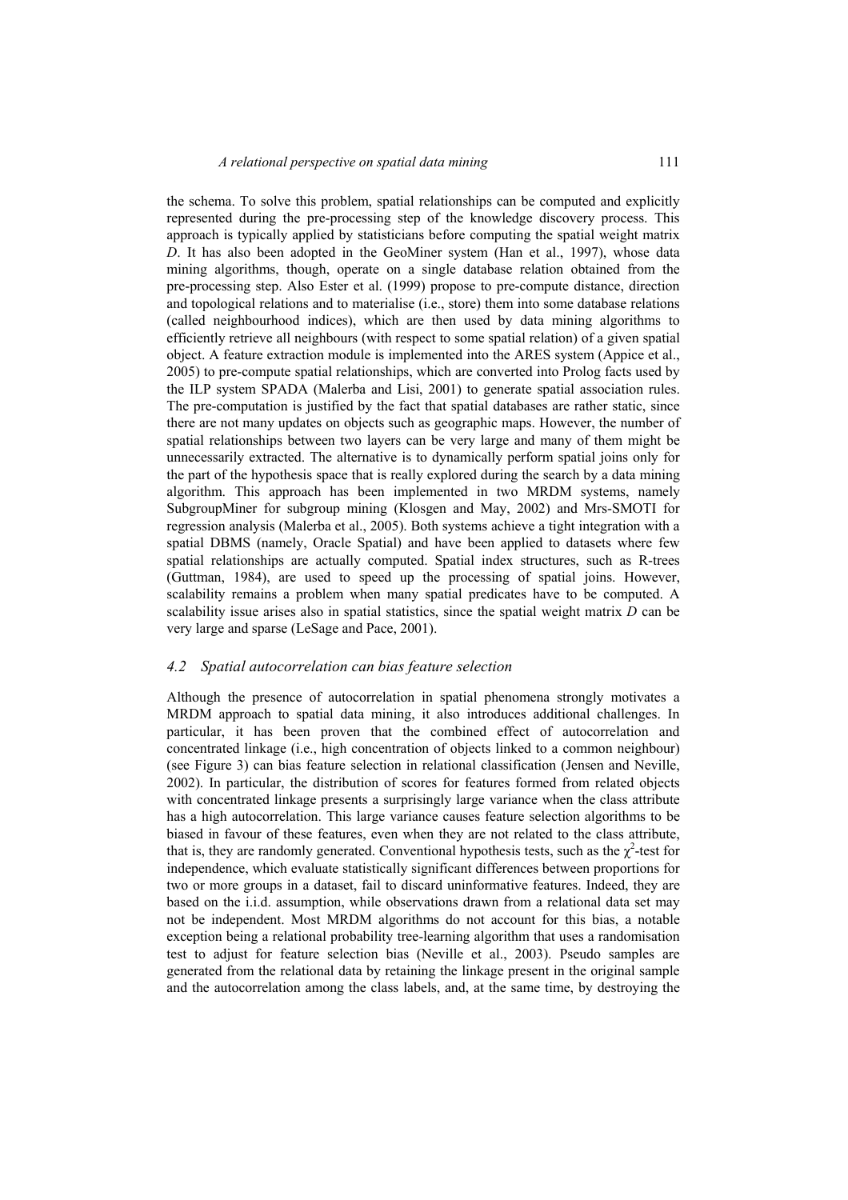the schema. To solve this problem, spatial relationships can be computed and explicitly represented during the pre-processing step of the knowledge discovery process. This approach is typically applied by statisticians before computing the spatial weight matrix *D*. It has also been adopted in the GeoMiner system (Han et al., 1997), whose data mining algorithms, though, operate on a single database relation obtained from the pre-processing step. Also Ester et al. (1999) propose to pre-compute distance, direction and topological relations and to materialise (i.e., store) them into some database relations (called neighbourhood indices), which are then used by data mining algorithms to efficiently retrieve all neighbours (with respect to some spatial relation) of a given spatial object. A feature extraction module is implemented into the ARES system (Appice et al., 2005) to pre-compute spatial relationships, which are converted into Prolog facts used by the ILP system SPADA (Malerba and Lisi, 2001) to generate spatial association rules. The pre-computation is justified by the fact that spatial databases are rather static, since there are not many updates on objects such as geographic maps. However, the number of spatial relationships between two layers can be very large and many of them might be unnecessarily extracted. The alternative is to dynamically perform spatial joins only for the part of the hypothesis space that is really explored during the search by a data mining algorithm. This approach has been implemented in two MRDM systems, namely SubgroupMiner for subgroup mining (Klosgen and May, 2002) and Mrs-SMOTI for regression analysis (Malerba et al., 2005). Both systems achieve a tight integration with a spatial DBMS (namely, Oracle Spatial) and have been applied to datasets where few spatial relationships are actually computed. Spatial index structures, such as R-trees (Guttman, 1984), are used to speed up the processing of spatial joins. However, scalability remains a problem when many spatial predicates have to be computed. A scalability issue arises also in spatial statistics, since the spatial weight matrix *D* can be very large and sparse (LeSage and Pace, 2001).

### *4.2 Spatial autocorrelation can bias feature selection*

Although the presence of autocorrelation in spatial phenomena strongly motivates a MRDM approach to spatial data mining, it also introduces additional challenges. In particular, it has been proven that the combined effect of autocorrelation and concentrated linkage (i.e., high concentration of objects linked to a common neighbour) (see Figure 3) can bias feature selection in relational classification (Jensen and Neville, 2002). In particular, the distribution of scores for features formed from related objects with concentrated linkage presents a surprisingly large variance when the class attribute has a high autocorrelation. This large variance causes feature selection algorithms to be biased in favour of these features, even when they are not related to the class attribute, that is, they are randomly generated. Conventional hypothesis tests, such as the  $\chi^2$ -test for independence, which evaluate statistically significant differences between proportions for two or more groups in a dataset, fail to discard uninformative features. Indeed, they are based on the i.i.d. assumption, while observations drawn from a relational data set may not be independent. Most MRDM algorithms do not account for this bias, a notable exception being a relational probability tree-learning algorithm that uses a randomisation test to adjust for feature selection bias (Neville et al., 2003). Pseudo samples are generated from the relational data by retaining the linkage present in the original sample and the autocorrelation among the class labels, and, at the same time, by destroying the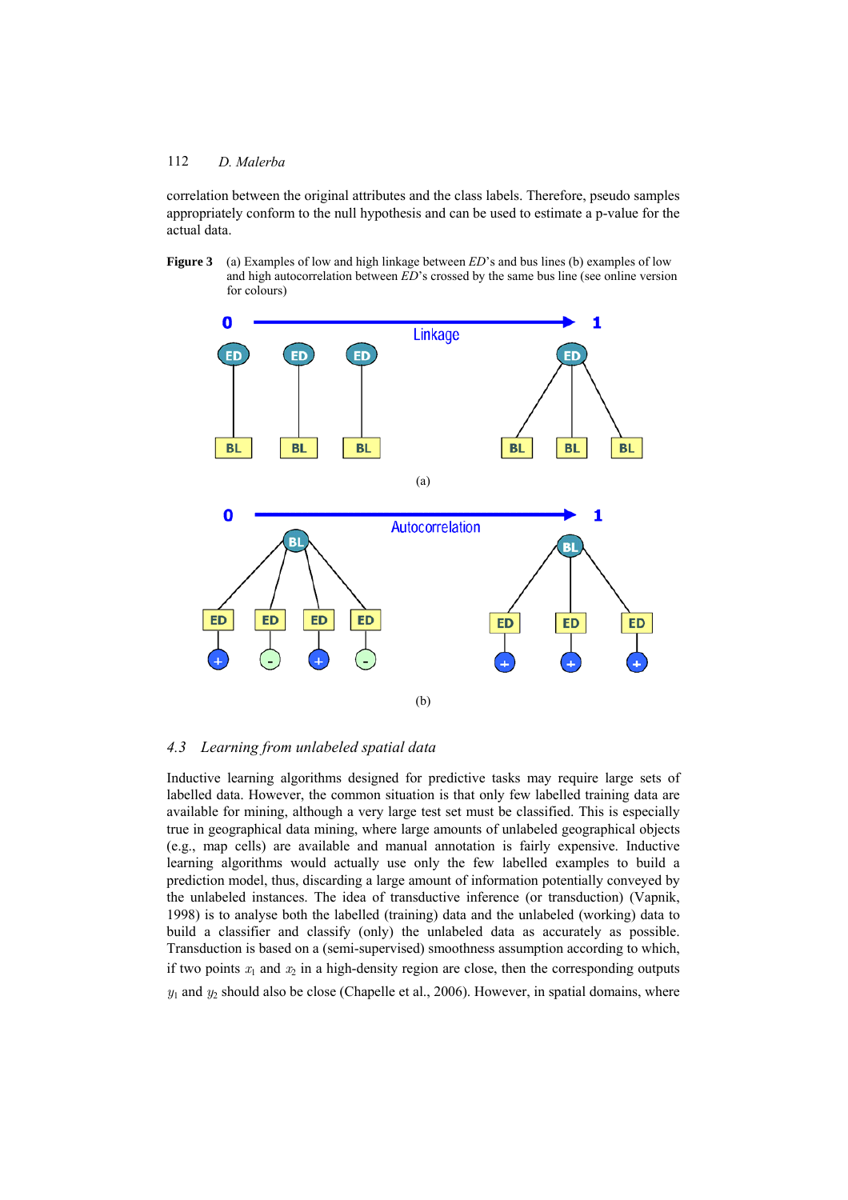correlation between the original attributes and the class labels. Therefore, pseudo samples appropriately conform to the null hypothesis and can be used to estimate a p-value for the actual data.

**Figure 3** (a) Examples of low and high linkage between *ED*'s and bus lines (b) examples of low and high autocorrelation between *ED*'s crossed by the same bus line (see online version for colours)



# *4.3 Learning from unlabeled spatial data*

Inductive learning algorithms designed for predictive tasks may require large sets of labelled data. However, the common situation is that only few labelled training data are available for mining, although a very large test set must be classified. This is especially true in geographical data mining, where large amounts of unlabeled geographical objects (e.g., map cells) are available and manual annotation is fairly expensive. Inductive learning algorithms would actually use only the few labelled examples to build a prediction model, thus, discarding a large amount of information potentially conveyed by the unlabeled instances. The idea of transductive inference (or transduction) (Vapnik, 1998) is to analyse both the labelled (training) data and the unlabeled (working) data to build a classifier and classify (only) the unlabeled data as accurately as possible. Transduction is based on a (semi-supervised) smoothness assumption according to which, if two points  $x_1$  and  $x_2$  in a high-density region are close, then the corresponding outputs *y*1 and *y*2 should also be close (Chapelle et al., 2006). However, in spatial domains, where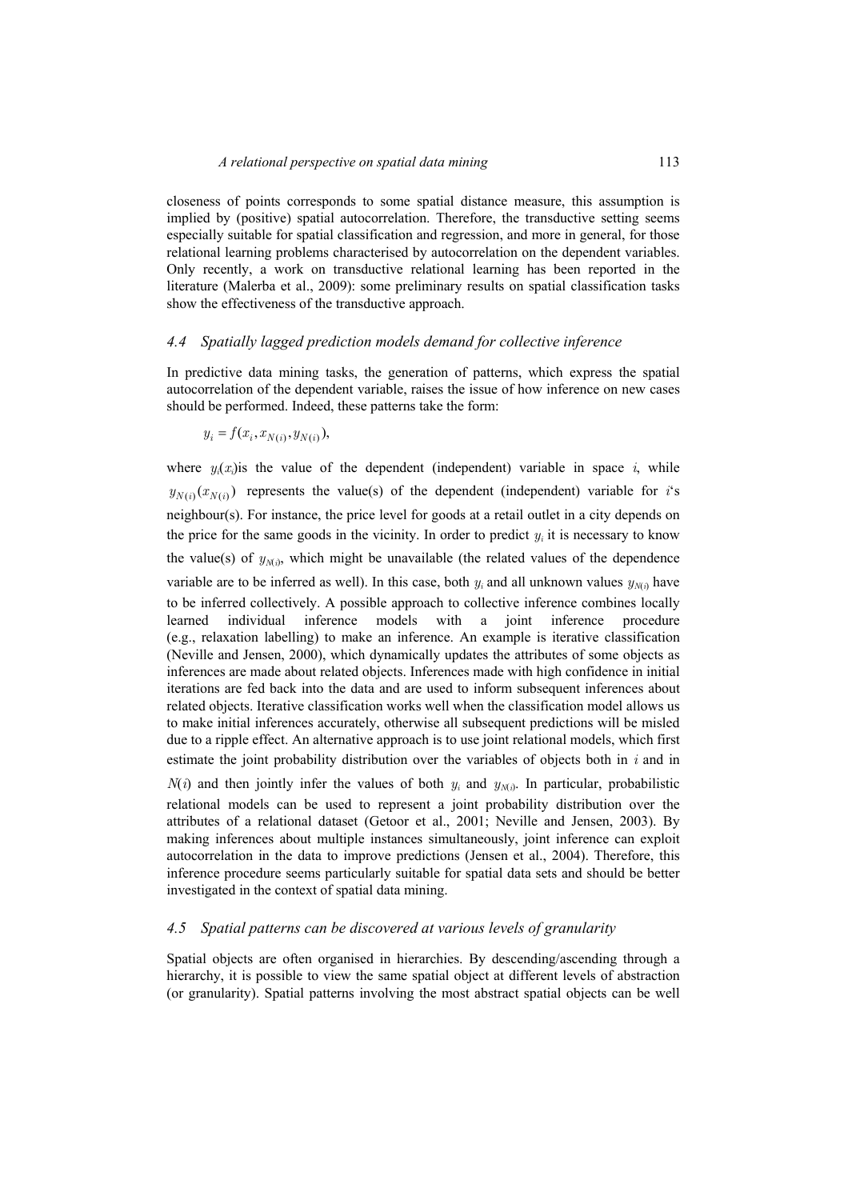closeness of points corresponds to some spatial distance measure, this assumption is implied by (positive) spatial autocorrelation. Therefore, the transductive setting seems especially suitable for spatial classification and regression, and more in general, for those relational learning problems characterised by autocorrelation on the dependent variables. Only recently, a work on transductive relational learning has been reported in the literature (Malerba et al., 2009): some preliminary results on spatial classification tasks show the effectiveness of the transductive approach.

#### *4.4 Spatially lagged prediction models demand for collective inference*

In predictive data mining tasks, the generation of patterns, which express the spatial autocorrelation of the dependent variable, raises the issue of how inference on new cases should be performed. Indeed, these patterns take the form:

$$
y_i = f(x_i, x_{N(i)}, y_{N(i)}),
$$

 $y_{N(i)}(x_{N(i)})$  represents the value(s) of the dependent (independent) variable for *i*'s where  $y_i(x_i)$  is the value of the dependent (independent) variable in space  $i$ , while neighbour(s). For instance, the price level for goods at a retail outlet in a city depends on the price for the same goods in the vicinity. In order to predict  $y_i$  it is necessary to know the value(s) of  $y_{N(i)}$ , which might be unavailable (the related values of the dependence variable are to be inferred as well). In this case, both  $y_i$  and all unknown values  $y_{N(i)}$  have to be inferred collectively. A possible approach to collective inference combines locally learned individual inference models with a joint inference procedure (e.g., relaxation labelling) to make an inference. An example is iterative classification (Neville and Jensen, 2000), which dynamically updates the attributes of some objects as inferences are made about related objects. Inferences made with high confidence in initial iterations are fed back into the data and are used to inform subsequent inferences about related objects. Iterative classification works well when the classification model allows us to make initial inferences accurately, otherwise all subsequent predictions will be misled due to a ripple effect. An alternative approach is to use joint relational models, which first estimate the joint probability distribution over the variables of objects both in *i* and in

 $N(i)$  and then jointly infer the values of both  $y_i$  and  $y_{N(i)}$ . In particular, probabilistic relational models can be used to represent a joint probability distribution over the attributes of a relational dataset (Getoor et al., 2001; Neville and Jensen, 2003). By making inferences about multiple instances simultaneously, joint inference can exploit autocorrelation in the data to improve predictions (Jensen et al., 2004). Therefore, this inference procedure seems particularly suitable for spatial data sets and should be better investigated in the context of spatial data mining.

### *4.5 Spatial patterns can be discovered at various levels of granularity*

Spatial objects are often organised in hierarchies. By descending/ascending through a hierarchy, it is possible to view the same spatial object at different levels of abstraction (or granularity). Spatial patterns involving the most abstract spatial objects can be well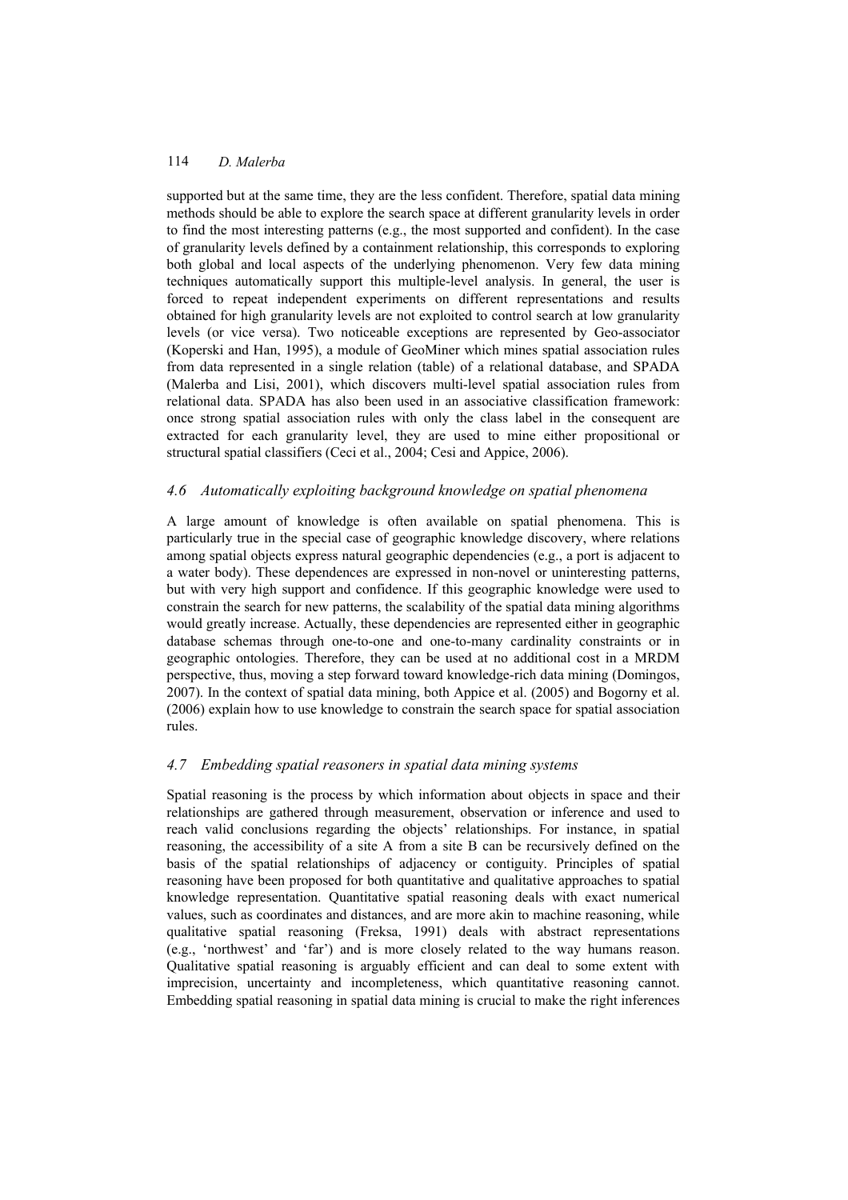supported but at the same time, they are the less confident. Therefore, spatial data mining methods should be able to explore the search space at different granularity levels in order to find the most interesting patterns (e.g., the most supported and confident). In the case of granularity levels defined by a containment relationship, this corresponds to exploring both global and local aspects of the underlying phenomenon. Very few data mining techniques automatically support this multiple-level analysis. In general, the user is forced to repeat independent experiments on different representations and results obtained for high granularity levels are not exploited to control search at low granularity levels (or vice versa). Two noticeable exceptions are represented by Geo-associator (Koperski and Han, 1995), a module of GeoMiner which mines spatial association rules from data represented in a single relation (table) of a relational database, and SPADA (Malerba and Lisi, 2001), which discovers multi-level spatial association rules from relational data. SPADA has also been used in an associative classification framework: once strong spatial association rules with only the class label in the consequent are extracted for each granularity level, they are used to mine either propositional or structural spatial classifiers (Ceci et al., 2004; Cesi and Appice, 2006).

# *4.6 Automatically exploiting background knowledge on spatial phenomena*

A large amount of knowledge is often available on spatial phenomena. This is particularly true in the special case of geographic knowledge discovery, where relations among spatial objects express natural geographic dependencies (e.g., a port is adjacent to a water body). These dependences are expressed in non-novel or uninteresting patterns, but with very high support and confidence. If this geographic knowledge were used to constrain the search for new patterns, the scalability of the spatial data mining algorithms would greatly increase. Actually, these dependencies are represented either in geographic database schemas through one-to-one and one-to-many cardinality constraints or in geographic ontologies. Therefore, they can be used at no additional cost in a MRDM perspective, thus, moving a step forward toward knowledge-rich data mining (Domingos, 2007). In the context of spatial data mining, both Appice et al. (2005) and Bogorny et al. (2006) explain how to use knowledge to constrain the search space for spatial association rules.

# *4.7 Embedding spatial reasoners in spatial data mining systems*

Spatial reasoning is the process by which information about objects in space and their relationships are gathered through measurement, observation or inference and used to reach valid conclusions regarding the objects' relationships. For instance, in spatial reasoning, the accessibility of a site A from a site B can be recursively defined on the basis of the spatial relationships of adjacency or contiguity. Principles of spatial reasoning have been proposed for both quantitative and qualitative approaches to spatial knowledge representation. Quantitative spatial reasoning deals with exact numerical values, such as coordinates and distances, and are more akin to machine reasoning, while qualitative spatial reasoning (Freksa, 1991) deals with abstract representations (e.g., 'northwest' and 'far') and is more closely related to the way humans reason. Qualitative spatial reasoning is arguably efficient and can deal to some extent with imprecision, uncertainty and incompleteness, which quantitative reasoning cannot. Embedding spatial reasoning in spatial data mining is crucial to make the right inferences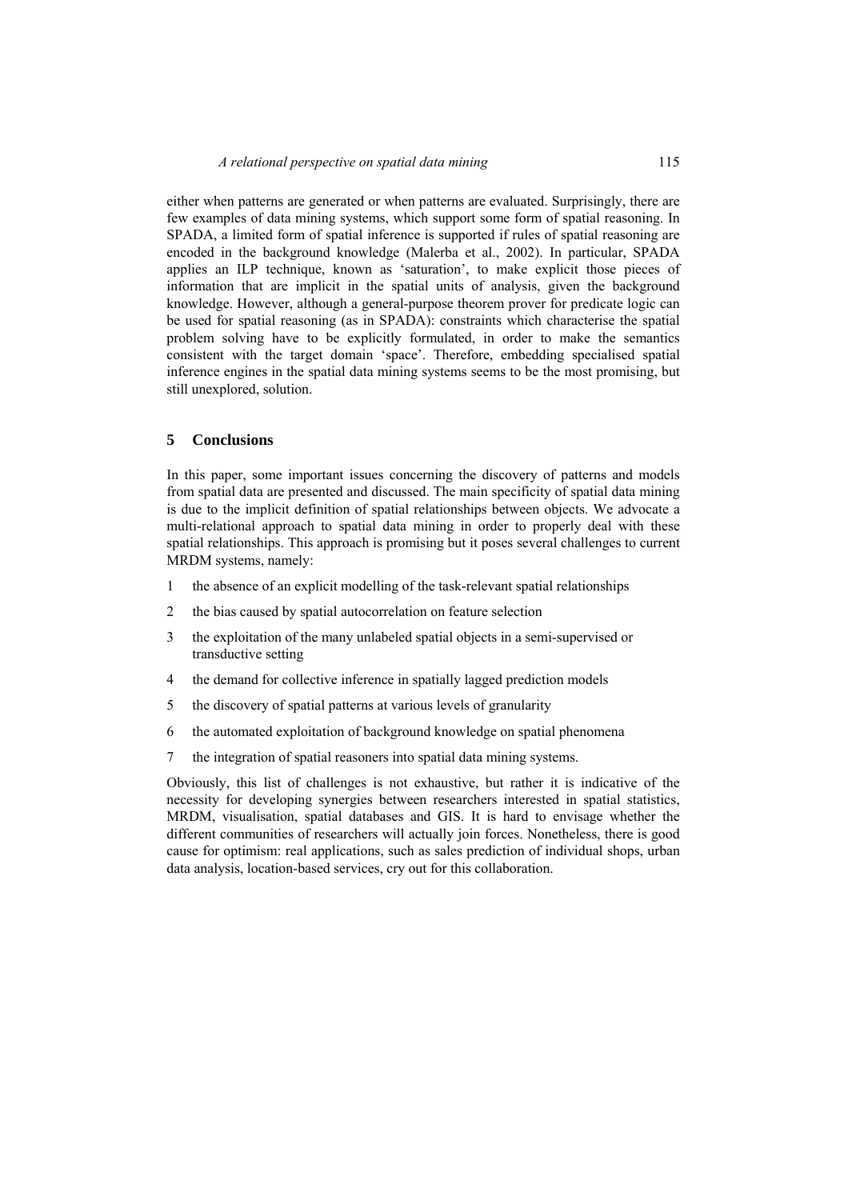either when patterns are generated or when patterns are evaluated. Surprisingly, there are few examples of data mining systems, which support some form of spatial reasoning. In SPADA, a limited form of spatial inference is supported if rules of spatial reasoning are encoded in the background knowledge (Malerba et al., 2002). In particular, SPADA applies an ILP technique, known as 'saturation', to make explicit those pieces of information that are implicit in the spatial units of analysis, given the background knowledge. However, although a general-purpose theorem prover for predicate logic can be used for spatial reasoning (as in SPADA): constraints which characterise the spatial problem solving have to be explicitly formulated, in order to make the semantics consistent with the target domain 'space'. Therefore, embedding specialised spatial inference engines in the spatial data mining systems seems to be the most promising, but still unexplored, solution.

#### **5 Conclusions**

In this paper, some important issues concerning the discovery of patterns and models from spatial data are presented and discussed. The main specificity of spatial data mining is due to the implicit definition of spatial relationships between objects. We advocate a multi-relational approach to spatial data mining in order to properly deal with these spatial relationships. This approach is promising but it poses several challenges to current MRDM systems, namely:

- 1 the absence of an explicit modelling of the task-relevant spatial relationships
- 2 the bias caused by spatial autocorrelation on feature selection
- 3 the exploitation of the many unlabeled spatial objects in a semi-supervised or transductive setting
- 4 the demand for collective inference in spatially lagged prediction models
- 5 the discovery of spatial patterns at various levels of granularity
- 6 the automated exploitation of background knowledge on spatial phenomena
- 7 the integration of spatial reasoners into spatial data mining systems.

Obviously, this list of challenges is not exhaustive, but rather it is indicative of the necessity for developing synergies between researchers interested in spatial statistics, MRDM, visualisation, spatial databases and GIS. It is hard to envisage whether the different communities of researchers will actually join forces. Nonetheless, there is good cause for optimism: real applications, such as sales prediction of individual shops, urban data analysis, location-based services, cry out for this collaboration.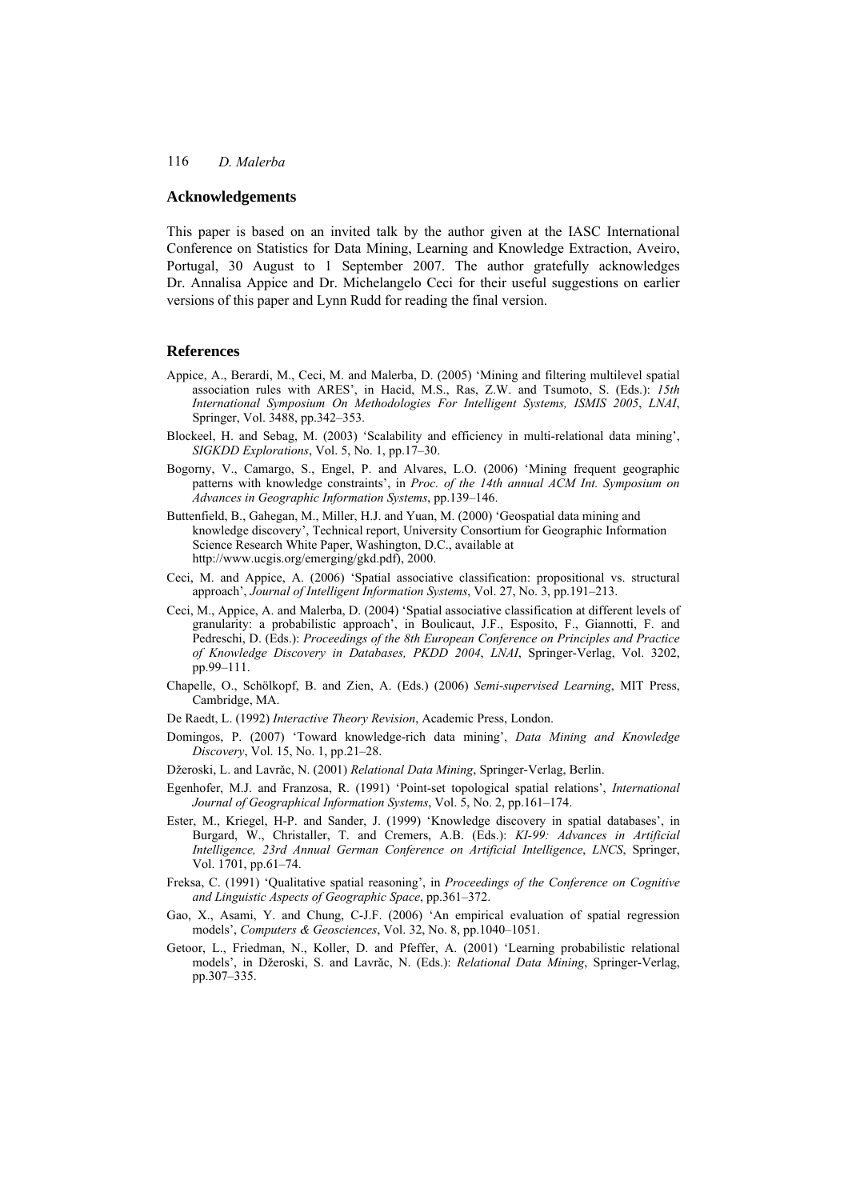### **Acknowledgements**

This paper is based on an invited talk by the author given at the IASC International Conference on Statistics for Data Mining, Learning and Knowledge Extraction, Aveiro, Portugal, 30 August to 1 September 2007. The author gratefully acknowledges Dr. Annalisa Appice and Dr. Michelangelo Ceci for their useful suggestions on earlier versions of this paper and Lynn Rudd for reading the final version.

#### **References**

- Appice, A., Berardi, M., Ceci, M. and Malerba, D. (2005) 'Mining and filtering multilevel spatial association rules with ARES', in Hacid, M.S., Ras, Z.W. and Tsumoto, S. (Eds.): *15th International Symposium On Methodologies For Intelligent Systems, ISMIS 2005*, *LNAI*, Springer, Vol. 3488, pp.342–353.
- Blockeel, H. and Sebag, M. (2003) 'Scalability and efficiency in multi-relational data mining', *SIGKDD Explorations*, Vol. 5, No. 1, pp.17–30.
- Bogorny, V., Camargo, S., Engel, P. and Alvares, L.O. (2006) 'Mining frequent geographic patterns with knowledge constraints', in *Proc. of the 14th annual ACM Int. Symposium on Advances in Geographic Information Systems*, pp.139–146.
- Buttenfield, B., Gahegan, M., Miller, H.J. and Yuan, M. (2000) 'Geospatial data mining and knowledge discovery', Technical report, University Consortium for Geographic Information Science Research White Paper, Washington, D.C., available at http://www.ucgis.org/emerging/gkd.pdf), 2000.
- Ceci, M. and Appice, A. (2006) 'Spatial associative classification: propositional vs. structural approach', *Journal of Intelligent Information Systems*, Vol. 27, No. 3, pp.191–213.
- Ceci, M., Appice, A. and Malerba, D. (2004) 'Spatial associative classification at different levels of granularity: a probabilistic approach', in Boulicaut, J.F., Esposito, F., Giannotti, F. and Pedreschi, D. (Eds.): *Proceedings of the 8th European Conference on Principles and Practice of Knowledge Discovery in Databases, PKDD 2004*, *LNAI*, Springer-Verlag, Vol. 3202, pp.99–111.
- Chapelle, O., Schölkopf, B. and Zien, A. (Eds.) (2006) *Semi-supervised Learning*, MIT Press, Cambridge, MA.
- De Raedt, L. (1992) *Interactive Theory Revision*, Academic Press, London.
- Domingos, P. (2007) 'Toward knowledge-rich data mining', *Data Mining and Knowledge Discovery*, Vol. 15, No. 1, pp.21–28.
- Džeroski, L. and Lavrǎc, N. (2001) *Relational Data Mining*, Springer-Verlag, Berlin.
- Egenhofer, M.J. and Franzosa, R. (1991) 'Point-set topological spatial relations', *International Journal of Geographical Information Systems*, Vol. 5, No. 2, pp.161–174.
- Ester, M., Kriegel, H-P. and Sander, J. (1999) 'Knowledge discovery in spatial databases', in Burgard, W., Christaller, T. and Cremers, A.B. (Eds.): *KI-99: Advances in Artificial Intelligence, 23rd Annual German Conference on Artificial Intelligence*, *LNCS*, Springer, Vol. 1701, pp.61–74.
- Freksa, C. (1991) 'Qualitative spatial reasoning', in *Proceedings of the Conference on Cognitive and Linguistic Aspects of Geographic Space*, pp.361–372.
- Gao, X., Asami, Y. and Chung, C-J.F. (2006) 'An empirical evaluation of spatial regression models', *Computers & Geosciences*, Vol. 32, No. 8, pp.1040–1051.
- Getoor, L., Friedman, N., Koller, D. and Pfeffer, A. (2001) 'Learning probabilistic relational models', in Džeroski, S. and Lavrǎc, N. (Eds.): *Relational Data Mining*, Springer-Verlag, pp.307–335.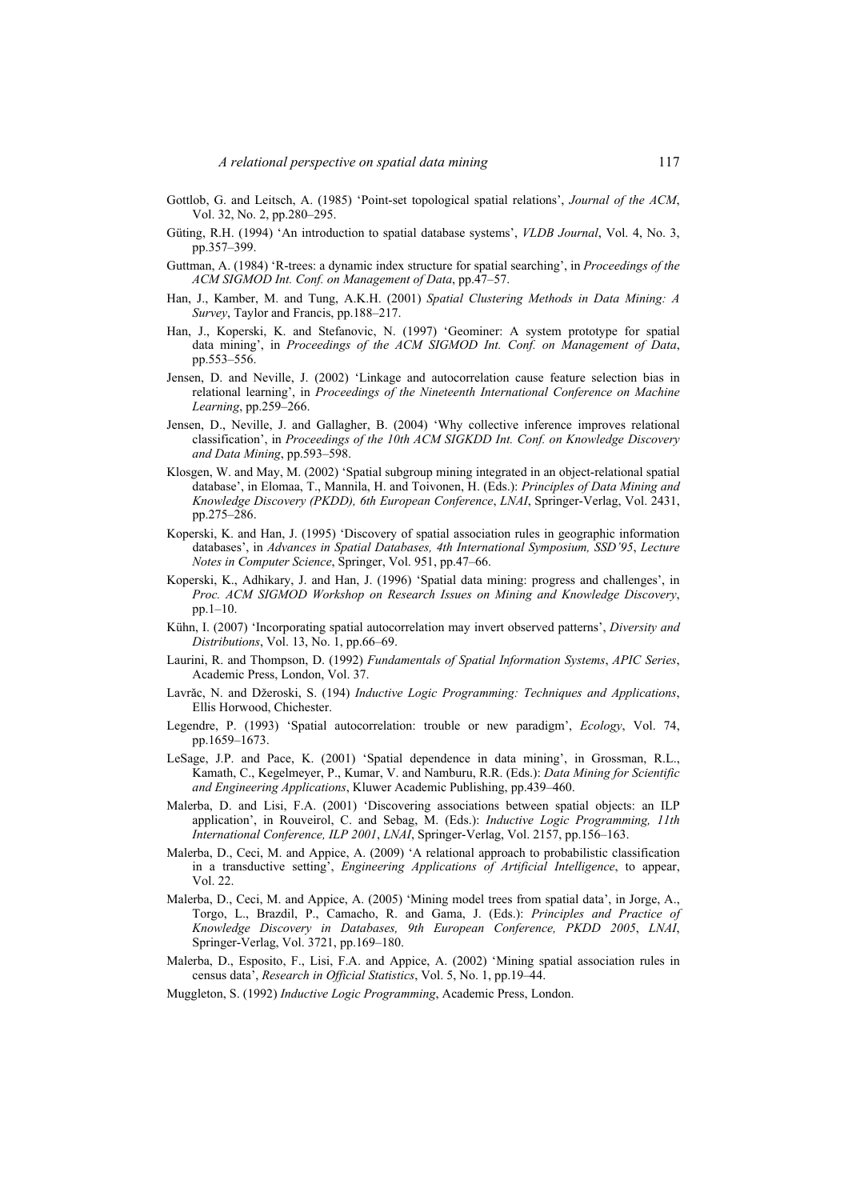- Gottlob, G. and Leitsch, A. (1985) 'Point-set topological spatial relations', *Journal of the ACM*, Vol. 32, No. 2, pp.280–295.
- Güting, R.H. (1994) 'An introduction to spatial database systems', *VLDB Journal*, Vol. 4, No. 3, pp.357–399.
- Guttman, A. (1984) 'R-trees: a dynamic index structure for spatial searching', in *Proceedings of the ACM SIGMOD Int. Conf. on Management of Data*, pp.47–57.
- Han, J., Kamber, M. and Tung, A.K.H. (2001) *Spatial Clustering Methods in Data Mining: A Survey*, Taylor and Francis, pp.188–217.
- Han, J., Koperski, K. and Stefanovic, N. (1997) 'Geominer: A system prototype for spatial data mining', in *Proceedings of the ACM SIGMOD Int. Conf. on Management of Data*, pp.553–556.
- Jensen, D. and Neville, J. (2002) 'Linkage and autocorrelation cause feature selection bias in relational learning', in *Proceedings of the Nineteenth International Conference on Machine Learning*, pp.259–266.
- Jensen, D., Neville, J. and Gallagher, B. (2004) 'Why collective inference improves relational classification', in *Proceedings of the 10th ACM SIGKDD Int. Conf. on Knowledge Discovery and Data Mining*, pp.593–598.
- Klosgen, W. and May, M. (2002) 'Spatial subgroup mining integrated in an object-relational spatial database', in Elomaa, T., Mannila, H. and Toivonen, H. (Eds.): *Principles of Data Mining and Knowledge Discovery (PKDD), 6th European Conference*, *LNAI*, Springer-Verlag, Vol. 2431, pp.275–286.
- Koperski, K. and Han, J. (1995) 'Discovery of spatial association rules in geographic information databases', in *Advances in Spatial Databases, 4th International Symposium, SSD'95*, *Lecture Notes in Computer Science*, Springer, Vol. 951, pp.47–66.
- Koperski, K., Adhikary, J. and Han, J. (1996) 'Spatial data mining: progress and challenges', in *Proc. ACM SIGMOD Workshop on Research Issues on Mining and Knowledge Discovery*, pp.1–10.
- Kühn, I. (2007) 'Incorporating spatial autocorrelation may invert observed patterns', *Diversity and Distributions*, Vol. 13, No. 1, pp.66–69.
- Laurini, R. and Thompson, D. (1992) *Fundamentals of Spatial Information Systems*, *APIC Series*, Academic Press, London, Vol. 37.
- Lavrǎc, N. and Džeroski, S. (194) *Inductive Logic Programming: Techniques and Applications*, Ellis Horwood, Chichester.
- Legendre, P. (1993) 'Spatial autocorrelation: trouble or new paradigm', *Ecology*, Vol. 74, pp.1659–1673.
- LeSage, J.P. and Pace, K. (2001) 'Spatial dependence in data mining', in Grossman, R.L., Kamath, C., Kegelmeyer, P., Kumar, V. and Namburu, R.R. (Eds.): *Data Mining for Scientific and Engineering Applications*, Kluwer Academic Publishing, pp.439–460.
- Malerba, D. and Lisi, F.A. (2001) 'Discovering associations between spatial objects: an ILP application', in Rouveirol, C. and Sebag, M. (Eds.): *Inductive Logic Programming, 11th International Conference, ILP 2001*, *LNAI*, Springer-Verlag, Vol. 2157, pp.156–163.
- Malerba, D., Ceci, M. and Appice, A. (2009) 'A relational approach to probabilistic classification in a transductive setting', *Engineering Applications of Artificial Intelligence*, to appear, Vol. 22.
- Malerba, D., Ceci, M. and Appice, A. (2005) 'Mining model trees from spatial data', in Jorge, A., Torgo, L., Brazdil, P., Camacho, R. and Gama, J. (Eds.): *Principles and Practice of Knowledge Discovery in Databases, 9th European Conference, PKDD 2005*, *LNAI*, Springer-Verlag, Vol. 3721, pp.169–180.
- Malerba, D., Esposito, F., Lisi, F.A. and Appice, A. (2002) 'Mining spatial association rules in census data', *Research in Official Statistics*, Vol. 5, No. 1, pp.19–44.
- Muggleton, S. (1992) *Inductive Logic Programming*, Academic Press, London.